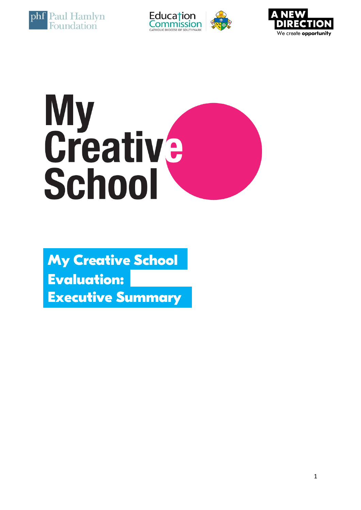





# My<br>Creative<br>School

**My Creative School Executive Summary Evaluation:**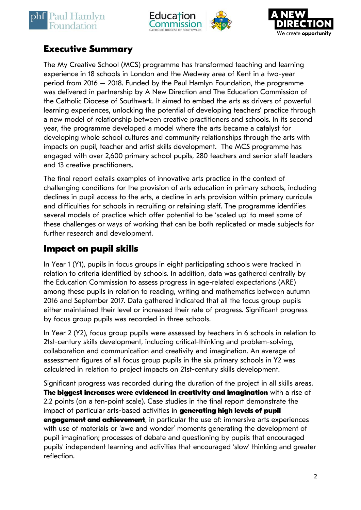





## **Executive Summary**

The My Creative School (MCS) programme has transformed teaching and learning experience in 18 schools in London and the Medway area of Kent in a two-year period from 2016 – 2018. Funded by the Paul Hamlyn Foundation, the programme was delivered in partnership by A New Direction and The Education Commission of the Catholic Diocese of Southwark. It aimed to embed the arts as drivers of powerful learning experiences, unlocking the potential of developing teachers' practice through a new model of relationship between creative practitioners and schools. In its second year, the programme developed a model where the arts became a catalyst for developing whole school cultures and community relationships through the arts with impacts on pupil, teacher and artist skills development. The MCS programme has engaged with over 2,600 primary school pupils, 280 teachers and senior staff leaders and 13 creative practitioners.

The final report details examples of innovative arts practice in the context of challenging conditions for the provision of arts education in primary schools, including declines in pupil access to the arts, a decline in arts provision within primary curricula and difficulties for schools in recruiting or retaining staff. The programme identifies several models of practice which offer potential to be 'scaled up' to meet some of these challenges or ways of working that can be both replicated or made subjects for further research and development.

## **Impact on pupil skills**

In Year 1 (Y1), pupils in focus groups in eight participating schools were tracked in relation to criteria identified by schools. In addition, data was gathered centrally by the Education Commission to assess progress in age-related expectations (ARE) among these pupils in relation to reading, writing and mathematics between autumn 2016 and September 2017. Data gathered indicated that all the focus group pupils either maintained their level or increased their rate of progress. Significant progress by focus group pupils was recorded in three schools.

In Year 2 (Y2), focus group pupils were assessed by teachers in 6 schools in relation to 21st-century skills development, including critical-thinking and problem-solving, collaboration and communication and creativity and imagination. An average of assessment figures of all focus group pupils in the six primary schools in Y2 was calculated in relation to project impacts on 21st-century skills development.

Significant progress was recorded during the duration of the project in all skills areas. **The biggest increases were evidenced in creativity and imagination** with a rise of 2.2 points (on a ten-point scale). Case studies in the final report demonstrate the impact of particular arts-based activities in **generating high levels of pupil engagement and achievement**, in particular the use of: immersive arts experiences with use of materials or 'awe and wonder' moments generating the development of pupil imagination; processes of debate and questioning by pupils that encouraged pupils' independent learning and activities that encouraged 'slow' thinking and greater reflection.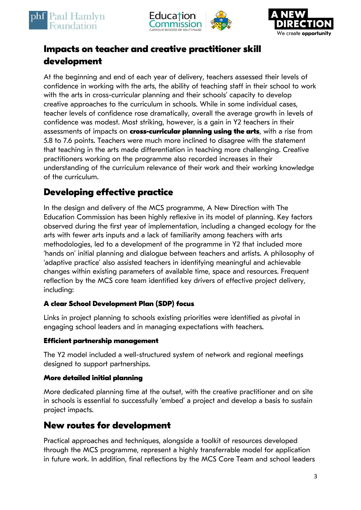





# **Impacts on teacher and creative practitioner skill development**

At the beginning and end of each year of delivery, teachers assessed their levels of confidence in working with the arts, the ability of teaching staff in their school to work with the arts in cross-curricular planning and their schools' capacity to develop creative approaches to the curriculum in schools. While in some individual cases, teacher levels of confidence rose dramatically, overall the average growth in levels of confidence was modest. Most striking, however, is a gain in Y2 teachers in their assessments of impacts on **cross-curricular planning using the arts**, with a rise from 5.8 to 7.6 points. Teachers were much more inclined to disagree with the statement that teaching in the arts made differentiation in teaching more challenging. Creative practitioners working on the programme also recorded increases in their understanding of the curriculum relevance of their work and their working knowledge of the curriculum.

# **Developing effective practice**

In the design and delivery of the MCS programme, A New Direction with The Education Commission has been highly reflexive in its model of planning. Key factors observed during the first year of implementation, including a changed ecology for the arts with fewer arts inputs and a lack of familiarity among teachers with arts methodologies, led to a development of the programme in Y2 that included more 'hands on' initial planning and dialogue between teachers and artists. A philosophy of 'adaptive practice' also assisted teachers in identifying meaningful and achievable changes within existing parameters of available time, space and resources. Frequent reflection by the MCS core team identified key drivers of effective project delivery, including:

#### **A clear School Development Plan (SDP) focus**

Links in project planning to schools existing priorities were identified as pivotal in engaging school leaders and in managing expectations with teachers.

#### **Efficient partnership management**

The Y2 model included a well-structured system of network and regional meetings designed to support partnerships.

#### **More detailed initial planning**

More dedicated planning time at the outset, with the creative practitioner and on site in schools is essential to successfully 'embed' a project and develop a basis to sustain project impacts.

# **New routes for development**

Practical approaches and techniques, alongside a toolkit of resources developed through the MCS programme, represent a highly transferrable model for application in future work. In addition, final reflections by the MCS Core Team and school leaders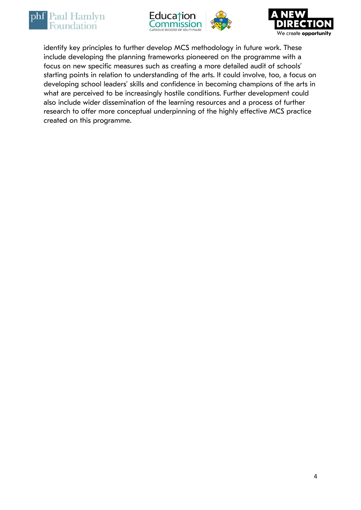





identify key principles to further develop MCS methodology in future work. These include developing the planning frameworks pioneered on the programme with a focus on new specific measures such as creating a more detailed audit of schools' starting points in relation to understanding of the arts. It could involve, too, a focus on developing school leaders' skills and confidence in becoming champions of the arts in what are perceived to be increasingly hostile conditions. Further development could also include wider dissemination of the learning resources and a process of further research to offer more conceptual underpinning of the highly effective MCS practice created on this programme.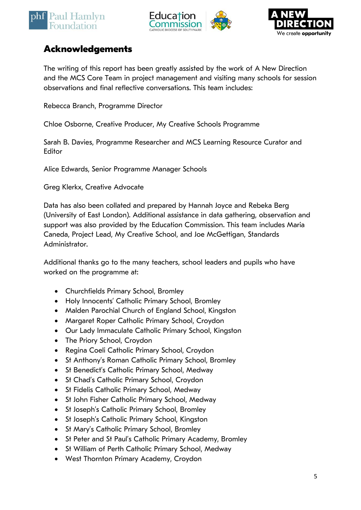





## **Acknowledgements**

The writing of this report has been greatly assisted by the work of A New Direction and the MCS Core Team in project management and visiting many schools for session observations and final reflective conversations. This team includes:

Rebecca Branch, Programme Director

Chloe Osborne, Creative Producer, My Creative Schools Programme

Sarah B. Davies, Programme Researcher and MCS Learning Resource Curator and Editor

Alice Edwards, Senior Programme Manager Schools

Greg Klerkx, Creative Advocate

Data has also been collated and prepared by Hannah Joyce and Rebeka Berg (University of East London). Additional assistance in data gathering, observation and support was also provided by the Education Commission. This team includes Maria Caneda, Project Lead, My Creative School, and Joe McGettigan, Standards Administrator.

Additional thanks go to the many teachers, school leaders and pupils who have worked on the programme at:

- Churchfields Primary School, Bromley
- Holy Innocents' Catholic Primary School, Bromley
- Malden Parochial Church of England School, Kingston
- Margaret Roper Catholic Primary School, Croydon
- Our Lady Immaculate Catholic Primary School, Kingston
- The Priory School, Croydon
- Regina Coeli Catholic Primary School, Croydon
- St Anthony's Roman Catholic Primary School, Bromley
- St Benedict's Catholic Primary School, Medway
- St Chad's Catholic Primary School, Croydon
- St Fidelis Catholic Primary School, Medway
- St John Fisher Catholic Primary School, Medway
- St Joseph's Catholic Primary School, Bromley
- St Joseph's Catholic Primary School, Kingston
- St Mary's Catholic Primary School, Bromley
- St Peter and St Paul's Catholic Primary Academy, Bromley
- St William of Perth Catholic Primary School, Medway
- West Thornton Primary Academy, Croydon